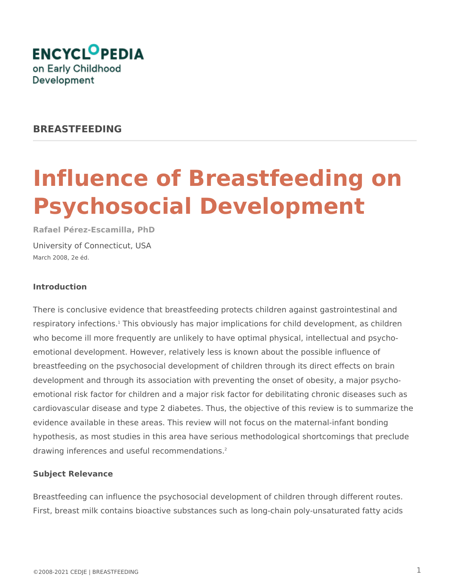

## **BREASTFEEDING**

# **Influence of Breastfeeding on Psychosocial Development**

**Rafael Pérez-Escamilla, PhD** University of Connecticut, USA March 2008, 2e éd.

#### **Introduction**

There is conclusive evidence that breastfeeding protects children against gastrointestinal and respiratory infections.<sup>1</sup> This obviously has major implications for child development, as children who become ill more frequently are unlikely to have optimal physical, intellectual and psychoemotional development. However, relatively less is known about the possible influence of breastfeeding on the psychosocial development of children through its direct effects on brain development and through its association with preventing the onset of obesity, a major psychoemotional risk factor for children and a major risk factor for debilitating chronic diseases such as cardiovascular disease and type 2 diabetes. Thus, the objective of this review is to summarize the evidence available in these areas. This review will not focus on the maternal-infant bonding hypothesis, as most studies in this area have serious methodological shortcomings that preclude drawing inferences and useful recommendations.<sup>2</sup>

#### **Subject Relevance**

Breastfeeding can influence the psychosocial development of children through different routes. First, breast milk contains bioactive substances such as long-chain poly-unsaturated fatty acids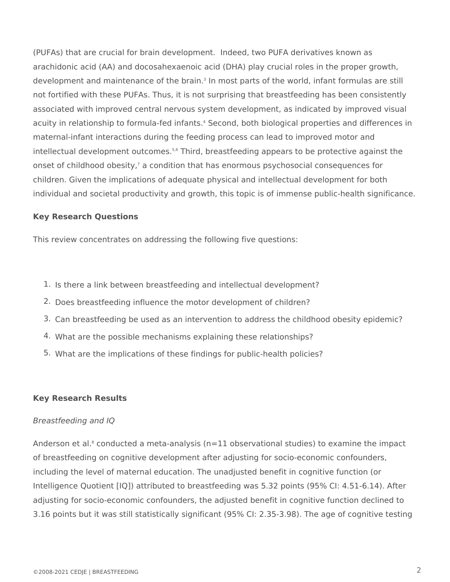(PUFAs) that are crucial for brain development. Indeed, two PUFA derivatives known as arachidonic acid (AA) and docosahexaenoic acid (DHA) play crucial roles in the proper growth, development and maintenance of the brain.<sup>3</sup> In most parts of the world, infant formulas are still not fortified with these PUFAs. Thus, it is not surprising that breastfeeding has been consistently associated with improved central nervous system development, as indicated by improved visual acuity in relationship to formula-fed infants.<sup>4</sup> Second, both biological properties and differences in maternal-infant interactions during the feeding process can lead to improved motor and intellectual development outcomes.<sup>5,6</sup> Third, breastfeeding appears to be protective against the onset of childhood obesity,<sup>7</sup> a condition that has enormous psychosocial consequences for children. Given the implications of adequate physical and intellectual development for both individual and societal productivity and growth, this topic is of immense public-health significance.

### **Key Research Questions**

This review concentrates on addressing the following five questions:

- 1. Is there a link between breastfeeding and intellectual development?
- 2. Does breastfeeding influence the motor development of children?
- 3. Can breastfeeding be used as an intervention to address the childhood obesity epidemic?
- 4. What are the possible mechanisms explaining these relationships?
- 5. What are the implications of these findings for public-health policies?

#### **Key Research Results**

#### *Breastfeeding and IQ*

Anderson et al.<sup>8</sup> conducted a meta-analysis (n=11 observational studies) to examine the impact of breastfeeding on cognitive development after adjusting for socio-economic confounders, including the level of maternal education. The unadjusted benefit in cognitive function (or Intelligence Quotient [IQ]) attributed to breastfeeding was 5.32 points (95% CI: 4.51-6.14). After adjusting for socio-economic confounders, the adjusted benefit in cognitive function declined to 3.16 points but it was still statistically significant (95% CI: 2.35-3.98). The age of cognitive testing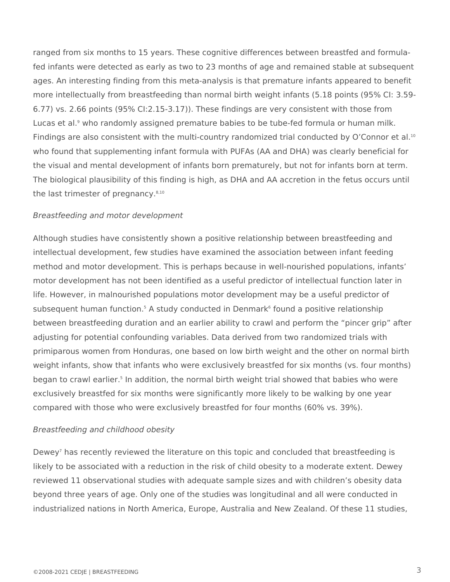ranged from six months to 15 years. These cognitive differences between breastfed and formulafed infants were detected as early as two to 23 months of age and remained stable at subsequent ages. An interesting finding from this meta-analysis is that premature infants appeared to benefit more intellectually from breastfeeding than normal birth weight infants (5.18 points (95% CI: 3.59- 6.77) vs. 2.66 points (95% CI:2.15-3.17)). These findings are very consistent with those from Lucas et al.<sup>9</sup> who randomly assigned premature babies to be tube-fed formula or human milk. Findings are also consistent with the multi-country randomized trial conducted by O'Connor et al.<sup>10</sup> who found that supplementing infant formula with PUFAs (AA and DHA) was clearly beneficial for the visual and mental development of infants born prematurely, but not for infants born at term. The biological plausibility of this finding is high, as DHA and AA accretion in the fetus occurs until the last trimester of pregnancy.<sup>8,10</sup>

#### *Breastfeeding and motor development*

Although studies have consistently shown a positive relationship between breastfeeding and intellectual development, few studies have examined the association between infant feeding method and motor development. This is perhaps because in well-nourished populations, infants' motor development has not been identified as a useful predictor of intellectual function later in life. However, in malnourished populations motor development may be a useful predictor of subsequent human function.<sup>5</sup> A study conducted in Denmark<sup>6</sup> found a positive relationship between breastfeeding duration and an earlier ability to crawl and perform the "pincer grip" after adjusting for potential confounding variables. Data derived from two randomized trials with primiparous women from Honduras, one based on low birth weight and the other on normal birth weight infants, show that infants who were exclusively breastfed for six months (vs. four months) began to crawl earlier.<sup>5</sup> In addition, the normal birth weight trial showed that babies who were exclusively breastfed for six months were significantly more likely to be walking by one year compared with those who were exclusively breastfed for four months (60% vs. 39%).

#### *Breastfeeding and childhood obesity*

Dewey<sup>7</sup> has recently reviewed the literature on this topic and concluded that breastfeeding is likely to be associated with a reduction in the risk of child obesity to a moderate extent. Dewey reviewed 11 observational studies with adequate sample sizes and with children's obesity data beyond three years of age. Only one of the studies was longitudinal and all were conducted in industrialized nations in North America, Europe, Australia and New Zealand. Of these 11 studies,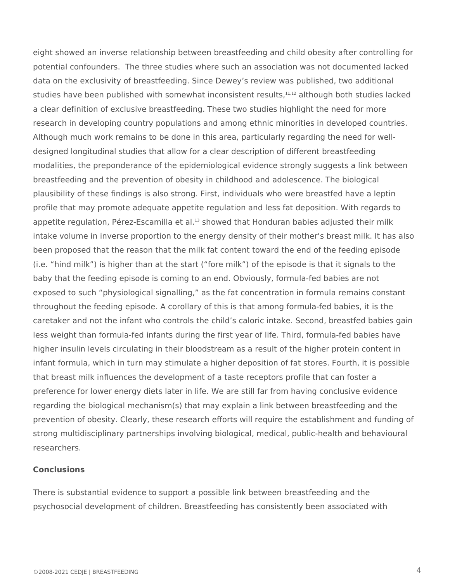eight showed an inverse relationship between breastfeeding and child obesity after controlling for potential confounders. The three studies where such an association was not documented lacked data on the exclusivity of breastfeeding. Since Dewey's review was published, two additional studies have been published with somewhat inconsistent results,<sup>11,12</sup> although both studies lacked a clear definition of exclusive breastfeeding. These two studies highlight the need for more research in developing country populations and among ethnic minorities in developed countries. Although much work remains to be done in this area, particularly regarding the need for welldesigned longitudinal studies that allow for a clear description of different breastfeeding modalities, the preponderance of the epidemiological evidence strongly suggests a link between breastfeeding and the prevention of obesity in childhood and adolescence. The biological plausibility of these findings is also strong. First, individuals who were breastfed have a leptin profile that may promote adequate appetite regulation and less fat deposition. With regards to appetite regulation, Pérez-Escamilla et al.<sup>13</sup> showed that Honduran babies adjusted their milk intake volume in inverse proportion to the energy density of their mother's breast milk. It has also been proposed that the reason that the milk fat content toward the end of the feeding episode (i.e. "hind milk") is higher than at the start ("fore milk") of the episode is that it signals to the baby that the feeding episode is coming to an end. Obviously, formula-fed babies are not exposed to such "physiological signalling," as the fat concentration in formula remains constant throughout the feeding episode. A corollary of this is that among formula-fed babies, it is the caretaker and not the infant who controls the child's caloric intake. Second, breastfed babies gain less weight than formula-fed infants during the first year of life. Third, formula-fed babies have higher insulin levels circulating in their bloodstream as a result of the higher protein content in infant formula, which in turn may stimulate a higher deposition of fat stores. Fourth, it is possible that breast milk influences the development of a taste receptors profile that can foster a preference for lower energy diets later in life. We are still far from having conclusive evidence regarding the biological mechanism(s) that may explain a link between breastfeeding and the prevention of obesity. Clearly, these research efforts will require the establishment and funding of strong multidisciplinary partnerships involving biological, medical, public-health and behavioural researchers.

### **Conclusions**

There is substantial evidence to support a possible link between breastfeeding and the psychosocial development of children. Breastfeeding has consistently been associated with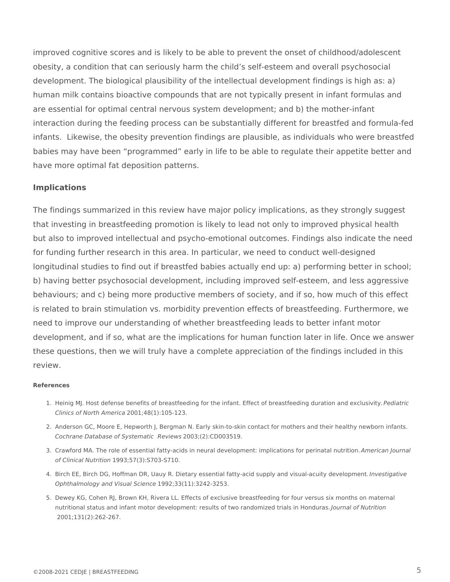improved cognitive scores and is likely to be able to prevent the onset of childhood/adolescent obesity, a condition that can seriously harm the child's self-esteem and overall psychosocial development. The biological plausibility of the intellectual development findings is high as: a) human milk contains bioactive compounds that are not typically present in infant formulas and are essential for optimal central nervous system development; and b) the mother-infant interaction during the feeding process can be substantially different for breastfed and formula-fed infants. Likewise, the obesity prevention findings are plausible, as individuals who were breastfed babies may have been "programmed" early in life to be able to regulate their appetite better and have more optimal fat deposition patterns.

#### **Implications**

The findings summarized in this review have major policy implications, as they strongly suggest that investing in breastfeeding promotion is likely to lead not only to improved physical health but also to improved intellectual and psycho-emotional outcomes. Findings also indicate the need for funding further research in this area. In particular, we need to conduct well-designed longitudinal studies to find out if breastfed babies actually end up: a) performing better in school; b) having better psychosocial development, including improved self-esteem, and less aggressive behaviours; and c) being more productive members of society, and if so, how much of this effect is related to brain stimulation vs. morbidity prevention effects of breastfeeding. Furthermore, we need to improve our understanding of whether breastfeeding leads to better infant motor development, and if so, what are the implications for human function later in life. Once we answer these questions, then we will truly have a complete appreciation of the findings included in this review.

#### **References**

- 1. Heinig MJ. Host defense benefits of breastfeeding for the infant. Effect of breastfeeding duration and exclusivity. *Pediatric*  2001;48(1):105-123. *Clinics of North America*
- 2. Anderson GC, Moore E, Hepworth J, Bergman N. Early skin-to-skin contact for mothers and their healthy newborn infants. *Cochrane Database of Systematic Reviews* 2003;(2):CD003519.
- 3. Crawford MA. The role of essential fatty-acids in neural development: implications for perinatal nutrition. *American Journal*  1993;57(3):S703-S710. *of Clinical Nutrition*
- 4. Birch EE, Birch DG, Hoffman DR, Uauy R. Dietary essential fatty-acid supply and visual-acuity development. *Investigative*  1992;33(11):3242-3253. *Ophthalmology and Visual Science*
- 5. Dewey KG, Cohen RJ, Brown KH, Rivera LL. Effects of exclusive breastfeeding for four versus six months on maternal nutritional status and infant motor development: results of two randomized trials in Honduras. *Journal of Nutrition* 2001;131(2):262-267.